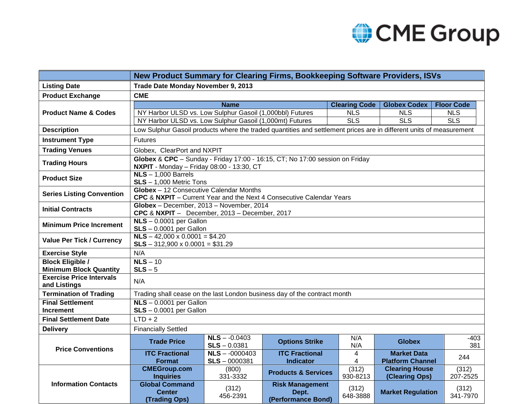## CME Group

|                                                 | New Product Summary for Clearing Firms, Bookkeeping Software Providers, ISVs                                              |                                    |                                                       |                         |                                               |                   |
|-------------------------------------------------|---------------------------------------------------------------------------------------------------------------------------|------------------------------------|-------------------------------------------------------|-------------------------|-----------------------------------------------|-------------------|
| <b>Listing Date</b>                             | Trade Date Monday November 9, 2013                                                                                        |                                    |                                                       |                         |                                               |                   |
| <b>Product Exchange</b>                         | <b>CME</b>                                                                                                                |                                    |                                                       |                         |                                               |                   |
| <b>Product Name &amp; Codes</b>                 |                                                                                                                           | <b>Name</b>                        |                                                       | <b>Clearing Code</b>    | <b>Globex Codex</b>                           | <b>Floor Code</b> |
|                                                 | NY Harbor ULSD vs. Low Sulphur Gasoil (1,000bbl) Futures                                                                  |                                    |                                                       | <b>NLS</b>              | <b>NLS</b>                                    | <b>NLS</b>        |
|                                                 | NY Harbor ULSD vs. Low Sulphur Gasoil (1,000mt) Futures                                                                   |                                    |                                                       | $\overline{\text{SLS}}$ | $\overline{\text{SLS}}$                       | <b>SLS</b>        |
| <b>Description</b>                              | Low Sulphur Gasoil products where the traded quantities and settlement prices are in different units of measurement       |                                    |                                                       |                         |                                               |                   |
| <b>Instrument Type</b>                          | <b>Futures</b>                                                                                                            |                                    |                                                       |                         |                                               |                   |
| <b>Trading Venues</b>                           | Globex, ClearPort and NXPIT                                                                                               |                                    |                                                       |                         |                                               |                   |
| <b>Trading Hours</b>                            | Globex & CPC - Sunday - Friday 17:00 - 16:15, CT; No 17:00 session on Friday<br>NXPIT - Monday - Friday 08:00 - 13:30, CT |                                    |                                                       |                         |                                               |                   |
| <b>Product Size</b>                             | $NLS - 1,000$ Barrels<br>$SLS - 1,000$ Metric Tons                                                                        |                                    |                                                       |                         |                                               |                   |
| <b>Series Listing Convention</b>                | Globex - 12 Consecutive Calendar Months<br>CPC & NXPIT - Current Year and the Next 4 Consecutive Calendar Years           |                                    |                                                       |                         |                                               |                   |
| <b>Initial Contracts</b>                        | Globex - December, 2013 - November, 2014<br>CPC & NXPIT - December, 2013 - December, 2017                                 |                                    |                                                       |                         |                                               |                   |
| <b>Minimum Price Increment</b>                  | $NLS - 0.0001$ per Gallon<br>$SLS - 0.0001$ per Gallon                                                                    |                                    |                                                       |                         |                                               |                   |
| <b>Value Per Tick / Currency</b>                | $NLS - 42,000 \times 0.0001 = $4.20$<br>$SLS - 312,900 \times 0.0001 = $31.29$                                            |                                    |                                                       |                         |                                               |                   |
| <b>Exercise Style</b>                           | N/A                                                                                                                       |                                    |                                                       |                         |                                               |                   |
| <b>Block Eligible /</b>                         | $NLS - 10$                                                                                                                |                                    |                                                       |                         |                                               |                   |
| <b>Minimum Block Quantity</b>                   | $SLS - 5$                                                                                                                 |                                    |                                                       |                         |                                               |                   |
| <b>Exercise Price Intervals</b><br>and Listings | N/A                                                                                                                       |                                    |                                                       |                         |                                               |                   |
| <b>Termination of Trading</b>                   | Trading shall cease on the last London business day of the contract month                                                 |                                    |                                                       |                         |                                               |                   |
| <b>Final Settlement</b>                         | $NLS - 0.0001$ per Gallon                                                                                                 |                                    |                                                       |                         |                                               |                   |
| <b>Increment</b>                                | $SLS - 0.0001$ per Gallon                                                                                                 |                                    |                                                       |                         |                                               |                   |
| <b>Final Settlement Date</b>                    | $LTD + 2$                                                                                                                 |                                    |                                                       |                         |                                               |                   |
| <b>Delivery</b>                                 | <b>Financially Settled</b>                                                                                                |                                    |                                                       |                         |                                               |                   |
| <b>Price Conventions</b>                        | <b>Trade Price</b>                                                                                                        | $NLS - 0.0403$<br>$SLS - 0.0381$   | <b>Options Strike</b>                                 | N/A<br>N/A              | <b>Globex</b>                                 | -403<br>381       |
|                                                 | <b>ITC Fractional</b><br><b>Format</b>                                                                                    | $NLS - 0000403$<br>$SLS - 0000381$ | <b>ITC Fractional</b><br><b>Indicator</b>             | $\overline{4}$<br>4     | <b>Market Data</b><br><b>Platform Channel</b> | 244               |
| <b>Information Contacts</b>                     | <b>CMEGroup.com</b><br><b>Inquiries</b>                                                                                   | (800)<br>331-3332                  | <b>Products &amp; Services</b>                        | (312)<br>930-8213       | <b>Clearing House</b><br>(Clearing Ops)       | (312)<br>207-2525 |
|                                                 | <b>Global Command</b><br><b>Center</b><br><b>(Trading Ops)</b>                                                            | (312)<br>456-2391                  | <b>Risk Management</b><br>Dept.<br>(Performance Bond) | (312)<br>648-3888       | <b>Market Regulation</b>                      | (312)<br>341-7970 |